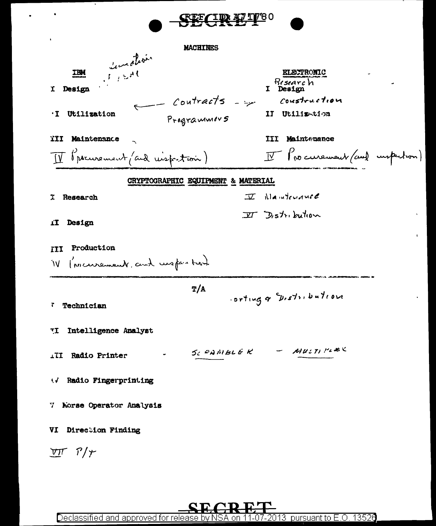

VI Direction Finding

 $VTT$   $T/\gamma$ 

2013  $\,$  pursuant to E.O. 13526  $\,$ Declassified and approved for release by NS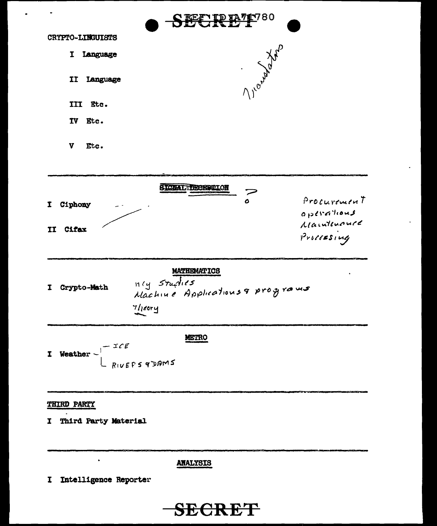

**ANALYSIS** 

I Intelligence Reporter

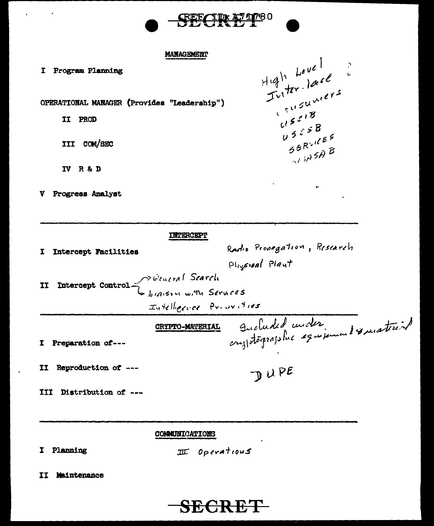

High Level ?

 $U^{\frac{1}{2}}$ 

 $u 55B$ 

SERVICES

 $\sqrt{3}$ 

 $\ddot{\phantom{a}}$ 

### **MANAGEMENT**

**TWIRRCRPT** 

| Ι | Program Planning |
|---|------------------|
|---|------------------|

 $\overline{\phantom{a}}$ 

OPERATIONAL MANAGER (Provides "Leadership")

II PROD

III COM/SEC

IV R & D

V Progress Analyst

| I.                      | Intercept Facilities | Radio Propagation, Risiarch                      |
|-------------------------|----------------------|--------------------------------------------------|
|                         |                      | Physical Plant                                   |
| II                      |                      | Intercept Control Bearch<br>biason with Services |
|                         |                      |                                                  |
| Intelligence Privaities |                      |                                                  |
|                         |                      | Aucheded under<br><b>CRYPTO-MATERIAL</b>         |
|                         | I Preparation of---  |                                                  |
| II                      | Reproduction of ---  | DUPE                                             |
| III                     | Distribution of ---  |                                                  |

## **COMMUNICATIONS**

I Planning

 $I\hspace{-0.1cm}I\hspace{-0.1cm}I$  Operations

II Maintenance

# **SECRET**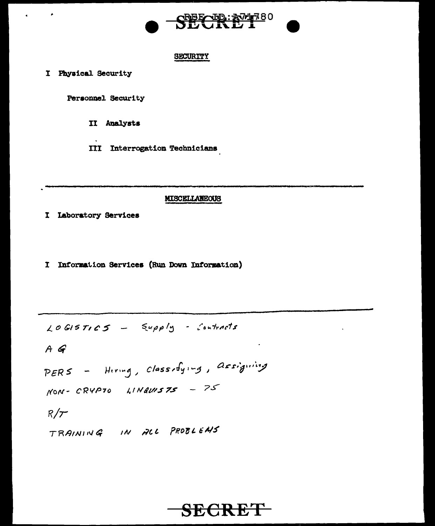

#### SECURITY

I Physical Security

Personnel Security

II Analysts

**III** Interrogation Technicians

#### **MISCELLANEOUS**

I Laboratory Services

I Information Services (Run Down Information)

 $LOGISTIC5 - Supply - Contracts$ 

 $A G$ 

PERS - Hiving, classifying, assigning

 $NON-CRYP70$  LINGUISTS -  $75$ 

 $R/T$ 

TRAINING IN ALL PROBLEMS

# SECRET